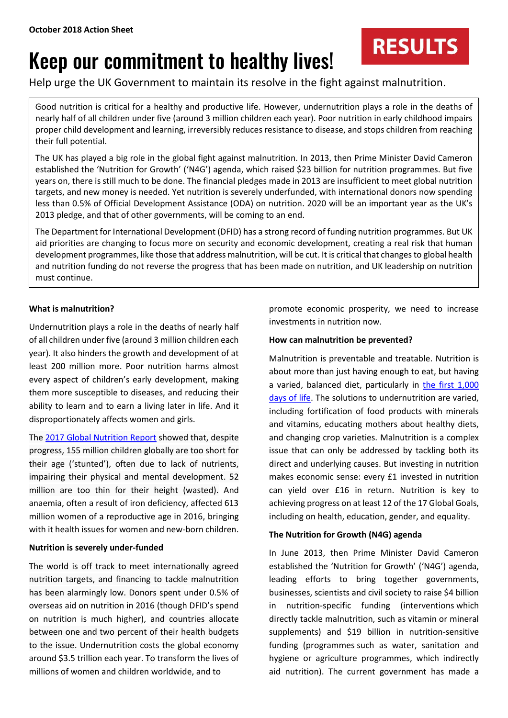# Keep our commitment to healthy lives!

## Help urge the UK Government to maintain its resolve in the fight against malnutrition.

Good nutrition is critical for a healthy and productive life. However, undernutrition plays a role in the deaths of nearly half of all children under five (around 3 million children each year). Poor nutrition in early childhood impairs proper child development and learning, irreversibly reduces resistance to disease, and stops children from reaching their full potential.

The UK has played a big role in the global fight against malnutrition. In 2013, then Prime Minister David Cameron established the 'Nutrition for Growth' ('N4G') agenda, which raised \$23 billion for nutrition programmes. But five years on, there is still much to be done. The financial pledges made in 2013 are insufficient to meet global nutrition targets, and new money is needed. Yet nutrition is severely underfunded, with international donors now spending less than 0.5% of Official Development Assistance (ODA) on nutrition. 2020 will be an important year as the UK's 2013 pledge, and that of other governments, will be coming to an end.

The Department for International Development (DFID) has a strong record of funding nutrition programmes. But UK aid priorities are changing to focus more on security and economic development, creating a real risk that human development programmes, like those that address malnutrition, will be cut. It is critical that changes to global health and nutrition funding do not reverse the progress that has been made on nutrition, and UK leadership on nutrition must continue.

## **What is malnutrition?**

Undernutrition plays a role in the deaths of nearly half of all children under five (around 3 million children each year). It also hinders the growth and development of at least 200 million more. Poor nutrition harms almost every aspect of children's early development, making them more susceptible to diseases, and reducing their ability to learn and to earn a living later in life. And it disproportionately affects women and girls.

The 2017 Global [Nutrition](http://globalnutritionreport.org/the-report/) Report showed that, despite progress, 155 million children globally are too short for their age ('stunted'), often due to lack of nutrients, impairing their physical and mental development. 52 million are too thin for their height (wasted). And anaemia, often a result of iron deficiency, affected 613 million women of a reproductive age in 2016, bringing with it health issues for women and new-born children.

## **Nutrition is severely under-funded**

The world is off track to meet internationally agreed nutrition targets, and financing to tackle malnutrition has been alarmingly low. Donors spent under 0.5% of overseas aid on nutrition in 2016 (though DFID's spend on nutrition is much higher), and countries allocate between one and two percent of their health budgets to the issue. Undernutrition costs the global economy around \$3.5 trillion each year. To transform the lives of millions of women and children worldwide, and to

promote economic prosperity, we need to increase investments in nutrition now.

**RESULTS** 

### **How can malnutrition be prevented?**

Malnutrition is preventable and treatable. Nutrition is about more than just having enough to eat, but having a varied, balanced diet, particularly in [the first 1,000](https://thousanddays.org/)  [days of life.](https://thousanddays.org/) The solutions to undernutrition are varied, including fortification of food products with minerals and vitamins, educating mothers about healthy diets, and changing crop varieties. Malnutrition is a complex issue that can only be addressed by tackling both its direct and underlying causes. But investing in nutrition makes economic sense: every £1 invested in nutrition can yield over £16 in return. Nutrition is key to achieving progress on at least 12 of the 17 Global Goals, including on health, education, gender, and equality.

## **The Nutrition for Growth (N4G) agenda**

In June 2013, then Prime Minister David Cameron established the 'Nutrition for Growth' ('N4G') agenda, leading efforts to bring together governments, businesses, scientists and civil society to raise \$4 billion in nutrition-specific funding (interventions which directly tackle malnutrition, such as vitamin or mineral supplements) and \$19 billion in nutrition-sensitive funding (programmes such as water, sanitation and hygiene or agriculture programmes, which indirectly aid nutrition). The current government has made a